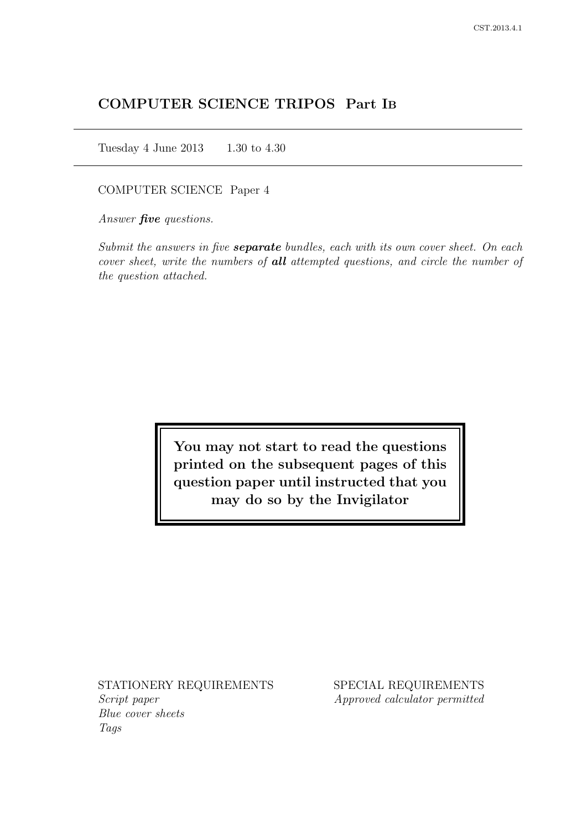# COMPUTER SCIENCE TRIPOS Part IB

Tuesday 4 June 2013 1.30 to 4.30

COMPUTER SCIENCE Paper 4

Answer *five* questions.

Submit the answers in five **separate** bundles, each with its own cover sheet. On each cover sheet, write the numbers of **all** attempted questions, and circle the number of the question attached.

> You may not start to read the questions printed on the subsequent pages of this question paper until instructed that you may do so by the Invigilator

STATIONERY REQUIREMENTS Script paper Blue cover sheets

Tags

SPECIAL REQUIREMENTS Approved calculator permitted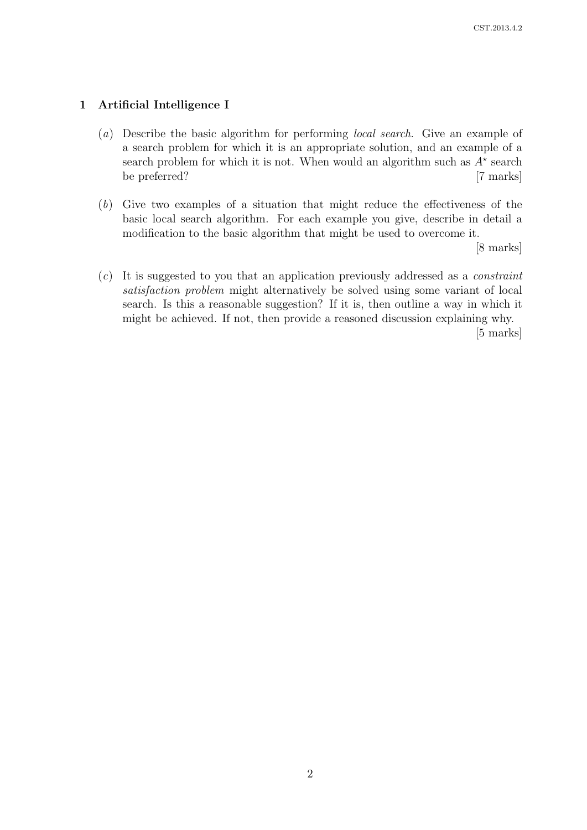# 1 Artificial Intelligence I

- (a) Describe the basic algorithm for performing local search. Give an example of a search problem for which it is an appropriate solution, and an example of a search problem for which it is not. When would an algorithm such as  $A^*$  search be preferred? [7 marks]
- (b) Give two examples of a situation that might reduce the effectiveness of the basic local search algorithm. For each example you give, describe in detail a modification to the basic algorithm that might be used to overcome it.

[8 marks]

 $(c)$  It is suggested to you that an application previously addressed as a *constraint* satisfaction problem might alternatively be solved using some variant of local search. Is this a reasonable suggestion? If it is, then outline a way in which it might be achieved. If not, then provide a reasoned discussion explaining why.

[5 marks]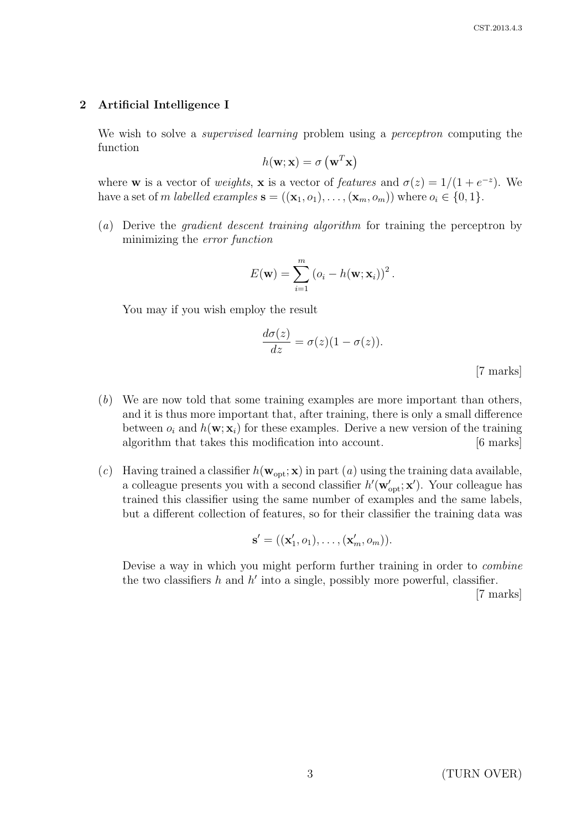#### 2 Artificial Intelligence I

We wish to solve a *supervised learning* problem using a *perceptron* computing the function

$$
h(\mathbf{w}; \mathbf{x}) = \sigma\left(\mathbf{w}^T \mathbf{x}\right)
$$

where **w** is a vector of *weights*, **x** is a vector of *features* and  $\sigma(z) = 1/(1 + e^{-z})$ . We have a set of m labelled examples  $\mathbf{s} = ((\mathbf{x}_1, o_1), \dots, (\mathbf{x}_m, o_m))$  where  $o_i \in \{0, 1\}.$ 

(a) Derive the gradient descent training algorithm for training the perceptron by minimizing the error function

$$
E(\mathbf{w}) = \sum_{i=1}^{m} (o_i - h(\mathbf{w}; \mathbf{x}_i))^2.
$$

You may if you wish employ the result

$$
\frac{d\sigma(z)}{dz} = \sigma(z)(1 - \sigma(z)).
$$
 [7 marks]

- (b) We are now told that some training examples are more important than others, and it is thus more important that, after training, there is only a small difference between  $o_i$  and  $h(\mathbf{w}; \mathbf{x}_i)$  for these examples. Derive a new version of the training algorithm that takes this modification into account. [6 marks]
- (c) Having trained a classifier  $h(\mathbf{w}_{opt}; \mathbf{x})$  in part (a) using the training data available, a colleague presents you with a second classifier  $h'(\mathbf{w}'_{opt}; \mathbf{x}')$ . Your colleague has trained this classifier using the same number of examples and the same labels, but a different collection of features, so for their classifier the training data was

$$
\mathbf{s}' = ((\mathbf{x}'_1, o_1), \dots, (\mathbf{x}'_m, o_m)).
$$

Devise a way in which you might perform further training in order to combine the two classifiers  $h$  and  $h'$  into a single, possibly more powerful, classifier.

[7 marks]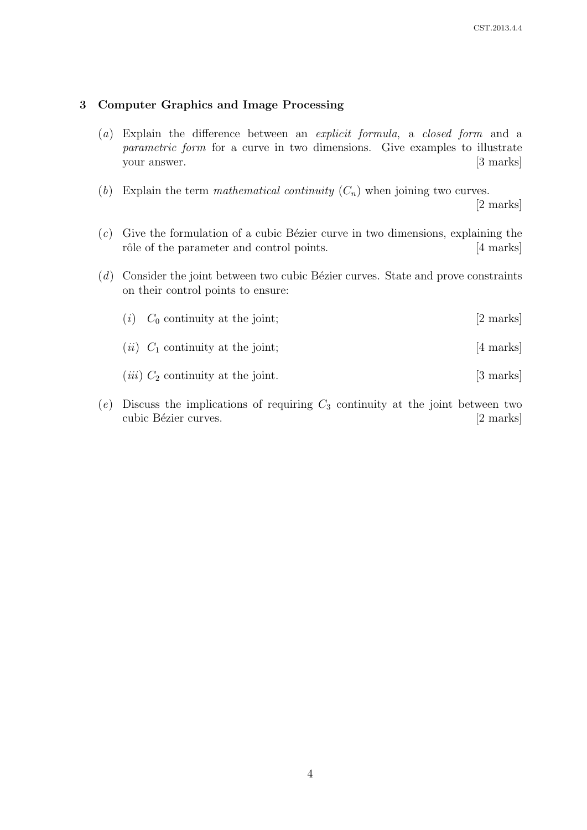## 3 Computer Graphics and Image Processing

- (a) Explain the difference between an explicit formula, a closed form and a parametric form for a curve in two dimensions. Give examples to illustrate your answer. [3 marks]
- (b) Explain the term mathematical continuity  $(C_n)$  when joining two curves.

[2 marks]

- $(c)$  Give the formulation of a cubic Bézier curve in two dimensions, explaining the rôle of the parameter and control points. [4 marks]
- $(d)$  Consider the joint between two cubic Bézier curves. State and prove constraints on their control points to ensure:

| $(i)$ $C_0$ continuity at the joint;          | [2 marks] |
|-----------------------------------------------|-----------|
| $(ii)$ $C_1$ continuity at the joint;         | [4 marks] |
| ( <i>iii</i> ) $C_2$ continuity at the joint. | [3 marks] |

 $(e)$  Discuss the implications of requiring  $C_3$  continuity at the joint between two cubic Bézier curves. [2 marks]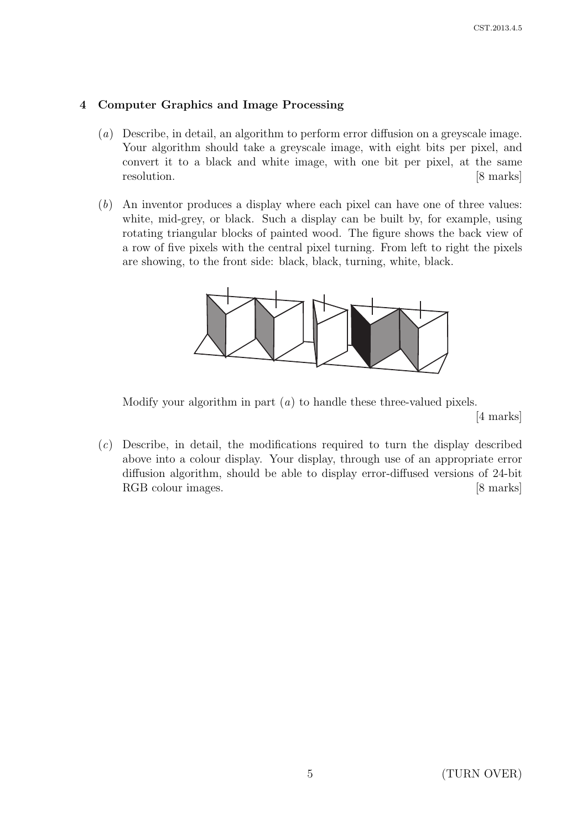# 4 Computer Graphics and Image Processing

- (a) Describe, in detail, an algorithm to perform error diffusion on a greyscale image. Your algorithm should take a greyscale image, with eight bits per pixel, and convert it to a black and white image, with one bit per pixel, at the same resolution. [8 marks]
- (b) An inventor produces a display where each pixel can have one of three values: white, mid-grey, or black. Such a display can be built by, for example, using rotating triangular blocks of painted wood. The figure shows the back view of a row of five pixels with the central pixel turning. From left to right the pixels are showing, to the front side: black, black, turning, white, black.



Modify your algorithm in part  $(a)$  to handle these three-valued pixels.

[4 marks]

(c) Describe, in detail, the modifications required to turn the display described above into a colour display. Your display, through use of an appropriate error diffusion algorithm, should be able to display error-diffused versions of 24-bit RGB colour images. [8 marks]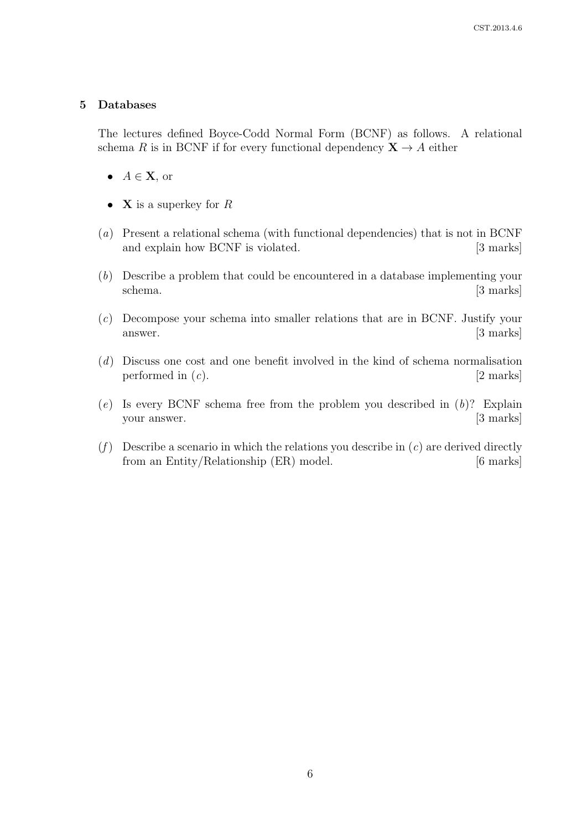#### 5 Databases

The lectures defined Boyce-Codd Normal Form (BCNF) as follows. A relational schema R is in BCNF if for every functional dependency  $X \rightarrow A$  either

- $A \in \mathbf{X}$ , or
- **X** is a superkey for  $R$
- (a) Present a relational schema (with functional dependencies) that is not in BCNF and explain how BCNF is violated. [3 marks]
- (b) Describe a problem that could be encountered in a database implementing your schema. [3 marks]
- (c) Decompose your schema into smaller relations that are in BCNF. Justify your answer. [3 marks]
- (d) Discuss one cost and one benefit involved in the kind of schema normalisation performed in  $(c)$ . [2 marks]
- $(e)$  Is every BCNF schema free from the problem you described in  $(b)$ ? Explain your answer. [3 marks]
- (f) Describe a scenario in which the relations you describe in  $(c)$  are derived directly from an Entity/Relationship (ER) model. [6 marks]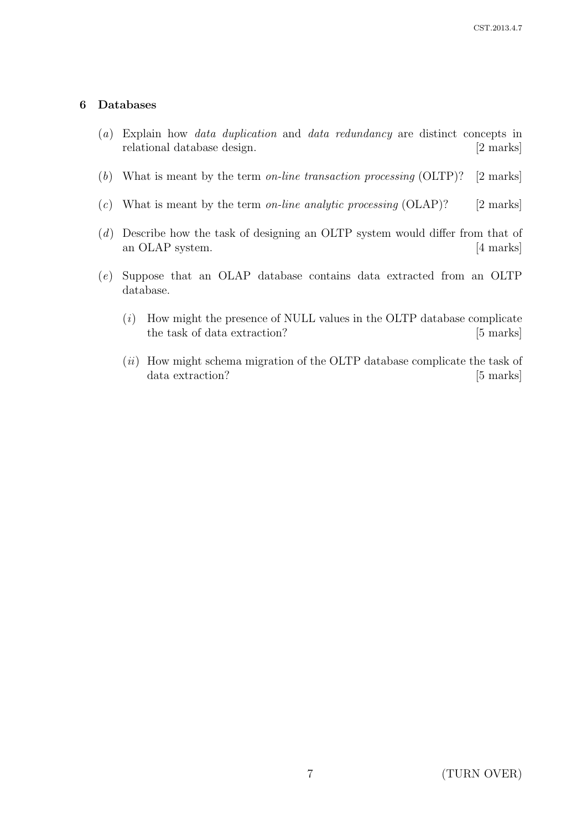#### 6 Databases

- (a) Explain how data duplication and data redundancy are distinct concepts in relational database design. [2 marks]
- (b) What is meant by the term on-line transaction processing (OLTP)? [2 marks]
- (c) What is meant by the term on-line analytic processing  $(OLAP)?$  [2 marks]
- (d) Describe how the task of designing an OLTP system would differ from that of an OLAP system. [4 marks]
- (e) Suppose that an OLAP database contains data extracted from an OLTP database.
	- $(i)$  How might the presence of NULL values in the OLTP database complicate the task of data extraction? [5 marks]
	- $(ii)$  How might schema migration of the OLTP database complicate the task of data extraction? [5 marks]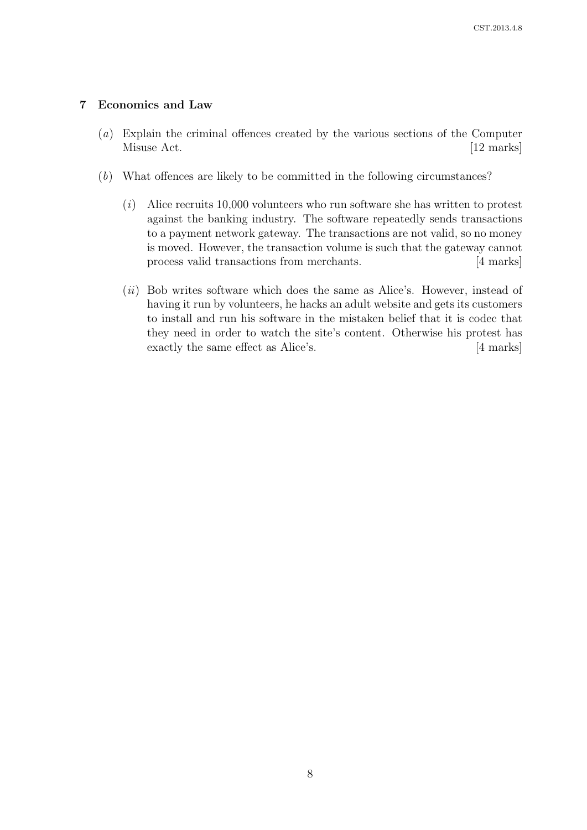## 7 Economics and Law

- (a) Explain the criminal offences created by the various sections of the Computer Misuse Act. [12 marks]
- (b) What offences are likely to be committed in the following circumstances?
	- $(i)$  Alice recruits 10,000 volunteers who run software she has written to protest against the banking industry. The software repeatedly sends transactions to a payment network gateway. The transactions are not valid, so no money is moved. However, the transaction volume is such that the gateway cannot process valid transactions from merchants. [4 marks]
	- $(ii)$  Bob writes software which does the same as Alice's. However, instead of having it run by volunteers, he hacks an adult website and gets its customers to install and run his software in the mistaken belief that it is codec that they need in order to watch the site's content. Otherwise his protest has exactly the same effect as Alice's. [4 marks]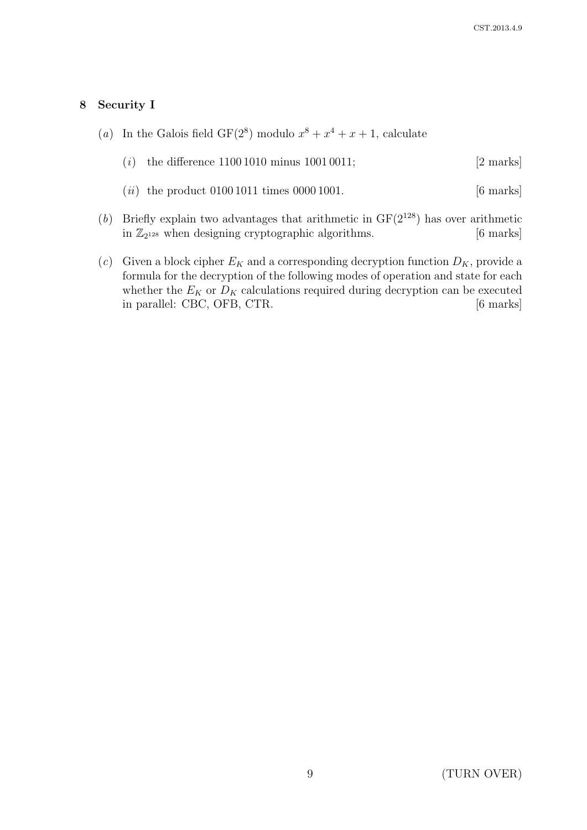## 8 Security I

(a) In the Galois field  $GF(2^8)$  modulo  $x^8 + x^4 + x + 1$ , calculate

| ( <i>i</i> ) the difference $11001010$ minus $10010011$ ; | $[2 \text{ marks}]$ |
|-----------------------------------------------------------|---------------------|
|-----------------------------------------------------------|---------------------|

- (*ii*) the product  $01001011$  times  $00001001$ . [6 marks]
- (b) Briefly explain two advantages that arithmetic in  $GF(2^{128})$  has over arithmetic in  $\mathbb{Z}_{2^{128}}$  when designing cryptographic algorithms. [6 marks]
- (c) Given a block cipher  $E_K$  and a corresponding decryption function  $D_K$ , provide a formula for the decryption of the following modes of operation and state for each whether the  $E_K$  or  $D_K$  calculations required during decryption can be executed in parallel: CBC, OFB, CTR. [6 marks]